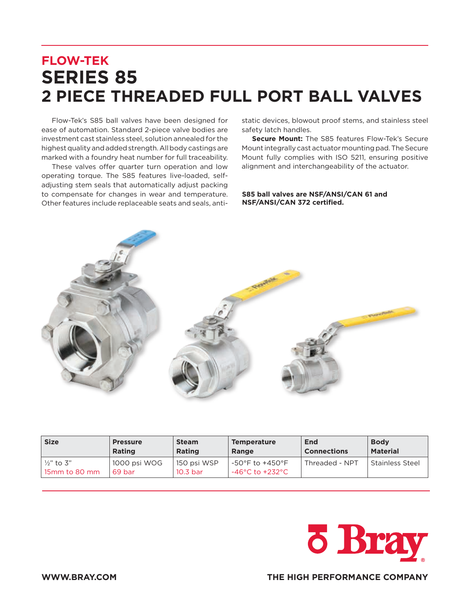## **FLOW-TEK SERIES 85 2 PIECE THREADED FULL PORT BALL VALVES**

Flow-Tek's S85 ball valves have been designed for ease of automation. Standard 2-piece valve bodies are investment cast stainless steel, solution annealed for the highest quality and added strength. All body castings are marked with a foundry heat number for full traceability.

These valves offer quarter turn operation and low operating torque. The S85 features live-loaded, selfadjusting stem seals that automatically adjust packing to compensate for changes in wear and temperature. Other features include replaceable seats and seals, antistatic devices, blowout proof stems, and stainless steel safety latch handles.

**Secure Mount:** The S85 features Flow-Tek's Secure Mount integrally cast actuator mounting pad. The Secure Mount fully complies with ISO 5211, ensuring positive alignment and interchangeability of the actuator.

## **S85 ball valves are NSF/ANSI/CAN 61 and NSF/ANSI/CAN 372 certified.**



| <b>Size</b>               | <b>Pressure</b>        | <b>Steam</b>            | <b>Temperature</b>                           | End                | <b>Body</b>       |
|---------------------------|------------------------|-------------------------|----------------------------------------------|--------------------|-------------------|
|                           | <b>Rating</b>          | <b>Rating</b>           | Range                                        | <b>Connections</b> | <b>Material</b>   |
| ½" to 3"<br>15mm to 80 mm | 1000 psi WOG<br>69 bar | 150 psi WSP<br>10.3 bar | $-50^{\circ}$ F to +450°F<br>-46°C to +232°C | Threaded - NPT     | l Stainless Steel |



**WWW.BRAY.COM THE HIGH PERFORMANCE COMPANY**